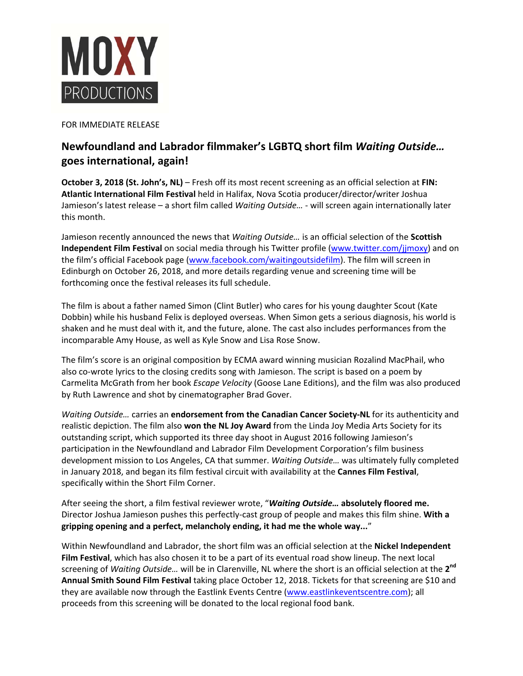

FOR IMMEDIATE RELEASE

## **Newfoundland and Labrador filmmaker's LGBTQ short film** *Waiting Outside…* **goes international, again!**

**October 3, 2018 (St. John's, NL)** – Fresh off its most recent screening as an official selection at **FIN: Atlantic International Film Festival** held in Halifax, Nova Scotia producer/director/writer Joshua Jamieson's latest release - a short film called *Waiting Outside...* - will screen again internationally later this month.

Jamieson recently announced the news that *Waiting Outside…* is an official selection of the **Scottish Independent Film Festival** on social media through his Twitter profile (www.twitter.com/jjmoxy) and on the film's official Facebook page (www.facebook.com/waitingoutsidefilm). The film will screen in Edinburgh on October 26, 2018, and more details regarding venue and screening time will be forthcoming once the festival releases its full schedule.

The film is about a father named Simon (Clint Butler) who cares for his young daughter Scout (Kate Dobbin) while his husband Felix is deployed overseas. When Simon gets a serious diagnosis, his world is shaken and he must deal with it, and the future, alone. The cast also includes performances from the incomparable Amy House, as well as Kyle Snow and Lisa Rose Snow.

The film's score is an original composition by ECMA award winning musician Rozalind MacPhail, who also co-wrote lyrics to the closing credits song with Jamieson. The script is based on a poem by Carmelita McGrath from her book *Escape Velocity* (Goose Lane Editions), and the film was also produced by Ruth Lawrence and shot by cinematographer Brad Gover.

*Waiting Outside…* carries an **endorsement from the Canadian Cancer Society‐NL** for its authenticity and realistic depiction. The film also **won the NL Joy Award** from the Linda Joy Media Arts Society for its outstanding script, which supported its three day shoot in August 2016 following Jamieson's participation in the Newfoundland and Labrador Film Development Corporation's film business development mission to Los Angeles, CA that summer. *Waiting Outside…* was ultimately fully completed in January 2018, and began its film festival circuit with availability at the **Cannes Film Festival**, specifically within the Short Film Corner.

After seeing the short, a film festival reviewer wrote, "*Waiting Outside…* **absolutely floored me.** Director Joshua Jamieson pushes this perfectly‐cast group of people and makes this film shine. **With a gripping opening and a perfect, melancholy ending, it had me the whole way...**"

Within Newfoundland and Labrador, the short film was an official selection at the **Nickel Independent Film Festival**, which has also chosen it to be a part of its eventual road show lineup. The next local screening of *Waiting Outside…* will be in Clarenville, NL where the short is an official selection at the **2nd Annual Smith Sound Film Festival** taking place October 12, 2018. Tickets for that screening are \$10 and they are available now through the Eastlink Events Centre (www.eastlinkeventscentre.com); all proceeds from this screening will be donated to the local regional food bank.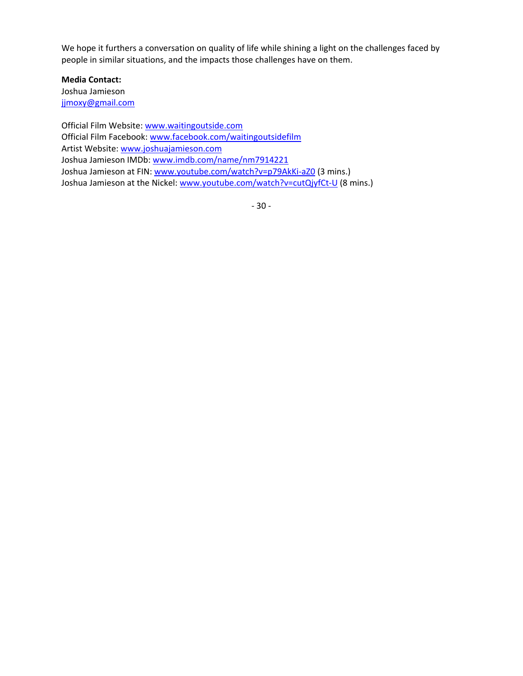We hope it furthers a conversation on quality of life while shining a light on the challenges faced by people in similar situations, and the impacts those challenges have on them.

**Media Contact:**  Joshua Jamieson jjmoxy@gmail.com

Official Film Website: www.waitingoutside.com Official Film Facebook: www.facebook.com/waitingoutsidefilm Artist Website: www.joshuajamieson.com Joshua Jamieson IMDb: www.imdb.com/name/nm7914221 Joshua Jamieson at FIN: www.youtube.com/watch?v=p79AkKi-aZ0 (3 mins.) Joshua Jamieson at the Nickel: www.youtube.com/watch?v=cutQjyfCt-U (8 mins.)

‐ 30 ‐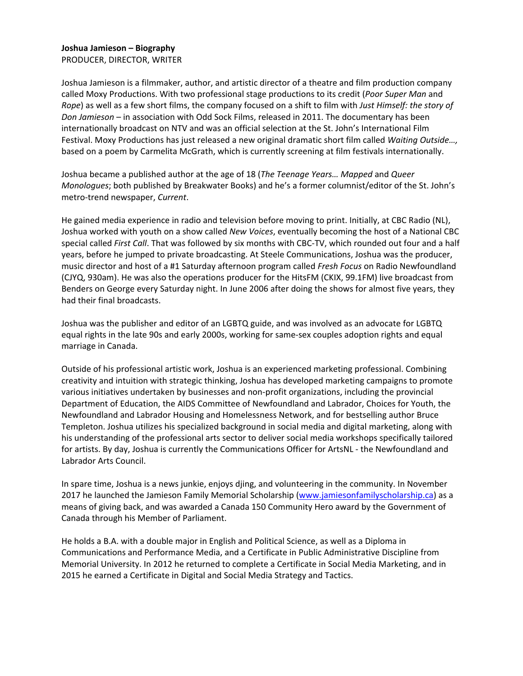## **Joshua Jamieson – Biography**  PRODUCER, DIRECTOR, WRITER

Joshua Jamieson is a filmmaker, author, and artistic director of a theatre and film production company called Moxy Productions. With two professional stage productions to its credit (*Poor Super Man* and *Rope*) as well as a few short films, the company focused on a shift to film with *Just Himself: the story of Don Jamieson* – in association with Odd Sock Films, released in 2011. The documentary has been internationally broadcast on NTV and was an official selection at the St. John's International Film Festival. Moxy Productions has just released a new original dramatic short film called *Waiting Outside…,* based on a poem by Carmelita McGrath, which is currently screening at film festivals internationally.

Joshua became a published author at the age of 18 (*The Teenage Years… Mapped* and *Queer Monologues*; both published by Breakwater Books) and he's a former columnist/editor of the St. John's metro‐trend newspaper, *Current*.

He gained media experience in radio and television before moving to print. Initially, at CBC Radio (NL), Joshua worked with youth on a show called *New Voices*, eventually becoming the host of a National CBC special called *First Call*. That was followed by six months with CBC‐TV, which rounded out four and a half years, before he jumped to private broadcasting. At Steele Communications, Joshua was the producer, music director and host of a #1 Saturday afternoon program called *Fresh Focus* on Radio Newfoundland (CJYQ, 930am). He was also the operations producer for the HitsFM (CKIX, 99.1FM) live broadcast from Benders on George every Saturday night. In June 2006 after doing the shows for almost five years, they had their final broadcasts.

Joshua was the publisher and editor of an LGBTQ guide, and was involved as an advocate for LGBTQ equal rights in the late 90s and early 2000s, working for same‐sex couples adoption rights and equal marriage in Canada.

Outside of his professional artistic work, Joshua is an experienced marketing professional. Combining creativity and intuition with strategic thinking, Joshua has developed marketing campaigns to promote various initiatives undertaken by businesses and non‐profit organizations, including the provincial Department of Education, the AIDS Committee of Newfoundland and Labrador, Choices for Youth, the Newfoundland and Labrador Housing and Homelessness Network, and for bestselling author Bruce Templeton. Joshua utilizes his specialized background in social media and digital marketing, along with his understanding of the professional arts sector to deliver social media workshops specifically tailored for artists. By day, Joshua is currently the Communications Officer for ArtsNL ‐ the Newfoundland and Labrador Arts Council.

In spare time, Joshua is a news junkie, enjoys djing, and volunteering in the community. In November 2017 he launched the Jamieson Family Memorial Scholarship (www.jamiesonfamilyscholarship.ca) as a means of giving back, and was awarded a Canada 150 Community Hero award by the Government of Canada through his Member of Parliament.

He holds a B.A. with a double major in English and Political Science, as well as a Diploma in Communications and Performance Media, and a Certificate in Public Administrative Discipline from Memorial University. In 2012 he returned to complete a Certificate in Social Media Marketing, and in 2015 he earned a Certificate in Digital and Social Media Strategy and Tactics.